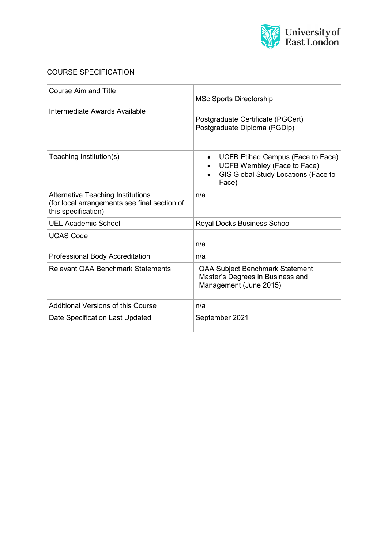

# COURSE SPECIFICATION

| <b>Course Aim and Title</b>                                                                                     | <b>MSc Sports Directorship</b>                                                                                   |  |
|-----------------------------------------------------------------------------------------------------------------|------------------------------------------------------------------------------------------------------------------|--|
| Intermediate Awards Available                                                                                   | Postgraduate Certificate (PGCert)<br>Postgraduate Diploma (PGDip)                                                |  |
| Teaching Institution(s)                                                                                         | UCFB Etihad Campus (Face to Face)<br>UCFB Wembley (Face to Face)<br>GIS Global Study Locations (Face to<br>Face) |  |
| <b>Alternative Teaching Institutions</b><br>(for local arrangements see final section of<br>this specification) | n/a                                                                                                              |  |
| <b>UEL Academic School</b>                                                                                      | Royal Docks Business School                                                                                      |  |
| <b>UCAS Code</b>                                                                                                | n/a                                                                                                              |  |
| <b>Professional Body Accreditation</b>                                                                          | n/a                                                                                                              |  |
| <b>Relevant QAA Benchmark Statements</b>                                                                        | <b>QAA Subject Benchmark Statement</b><br>Master's Degrees in Business and<br>Management (June 2015)             |  |
| <b>Additional Versions of this Course</b>                                                                       | n/a                                                                                                              |  |
| Date Specification Last Updated                                                                                 | September 2021                                                                                                   |  |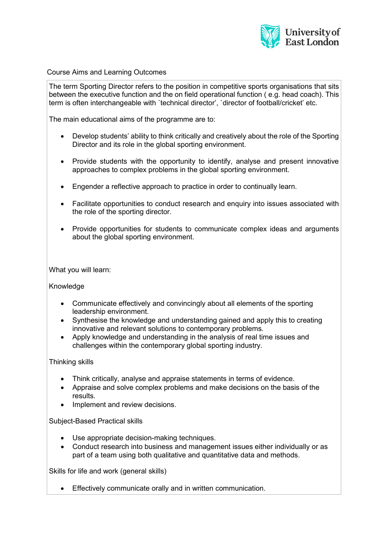

Course Aims and Learning Outcomes

The term Sporting Director refers to the position in competitive sports organisations that sits between the executive function and the on field operational function ( e.g. head coach). This term is often interchangeable with `technical director', `director of football/cricket' etc.

The main educational aims of the programme are to:

- Develop students' ability to think critically and creatively about the role of the Sporting Director and its role in the global sporting environment.
- Provide students with the opportunity to identify, analyse and present innovative approaches to complex problems in the global sporting environment.
- Engender a reflective approach to practice in order to continually learn.
- Facilitate opportunities to conduct research and enquiry into issues associated with the role of the sporting director.
- Provide opportunities for students to communicate complex ideas and arguments about the global sporting environment.

What you will learn:

Knowledge

- Communicate effectively and convincingly about all elements of the sporting leadership environment.
- Synthesise the knowledge and understanding gained and apply this to creating innovative and relevant solutions to contemporary problems.
- Apply knowledge and understanding in the analysis of real time issues and challenges within the contemporary global sporting industry.

Thinking skills

- Think critically, analyse and appraise statements in terms of evidence.
- Appraise and solve complex problems and make decisions on the basis of the results.
- Implement and review decisions.

Subject-Based Practical skills

- Use appropriate decision-making techniques.
- Conduct research into business and management issues either individually or as part of a team using both qualitative and quantitative data and methods.

Skills for life and work (general skills)

• Effectively communicate orally and in written communication.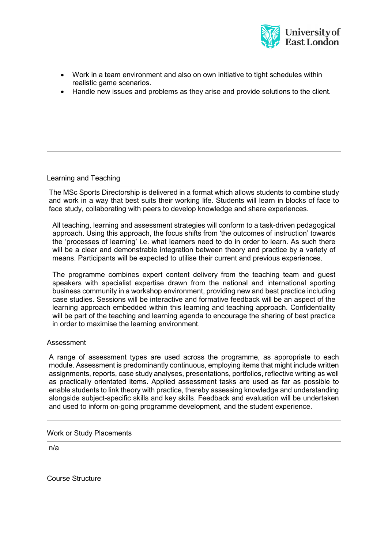

| • Work in a team environment and also on own initiative to tight schedules within |
|-----------------------------------------------------------------------------------|
| realistic game scenarios.                                                         |

• Handle new issues and problems as they arise and provide solutions to the client.

## Learning and Teaching

The MSc Sports Directorship is delivered in a format which allows students to combine study and work in a way that best suits their working life. Students will learn in blocks of face to face study, collaborating with peers to develop knowledge and share experiences.

All teaching, learning and assessment strategies will conform to a task-driven pedagogical approach. Using this approach, the focus shifts from 'the outcomes of instruction' towards the 'processes of learning' i.e. what learners need to do in order to learn. As such there will be a clear and demonstrable integration between theory and practice by a variety of means. Participants will be expected to utilise their current and previous experiences.

The programme combines expert content delivery from the teaching team and guest speakers with specialist expertise drawn from the national and international sporting business community in a workshop environment, providing new and best practice including case studies. Sessions will be interactive and formative feedback will be an aspect of the learning approach embedded within this learning and teaching approach. Confidentiality will be part of the teaching and learning agenda to encourage the sharing of best practice in order to maximise the learning environment.

#### Assessment

A range of assessment types are used across the programme, as appropriate to each module. Assessment is predominantly continuous, employing items that might include written assignments, reports, case study analyses, presentations, portfolios, reflective writing as well as practically orientated items. Applied assessment tasks are used as far as possible to enable students to link theory with practice, thereby assessing knowledge and understanding alongside subject-specific skills and key skills. Feedback and evaluation will be undertaken and used to inform on-going programme development, and the student experience.

#### Work or Study Placements

n/a

Course Structure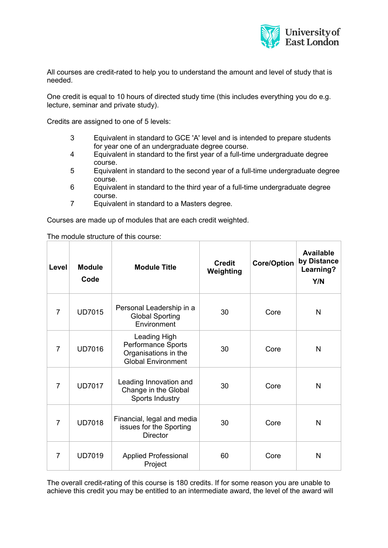

All courses are credit-rated to help you to understand the amount and level of study that is needed.

One credit is equal to 10 hours of directed study time (this includes everything you do e.g. lecture, seminar and private study).

Credits are assigned to one of 5 levels:

- 3 Equivalent in standard to GCE 'A' level and is intended to prepare students for year one of an undergraduate degree course.
- 4 Equivalent in standard to the first year of a full-time undergraduate degree course.
- 5 Equivalent in standard to the second year of a full-time undergraduate degree course.
- 6 Equivalent in standard to the third year of a full-time undergraduate degree course.
- 7 Equivalent in standard to a Masters degree.

Courses are made up of modules that are each credit weighted.

| Level          | <b>Module</b><br>Code | <b>Module Title</b>                                                                            | Credit<br>Weighting | <b>Core/Option</b> | <b>Available</b><br>by Distance<br>Learning?<br>Y/N |
|----------------|-----------------------|------------------------------------------------------------------------------------------------|---------------------|--------------------|-----------------------------------------------------|
| 7              | <b>UD7015</b>         | Personal Leadership in a<br><b>Global Sporting</b><br>Environment                              | 30                  | Core               | N                                                   |
| $\overline{7}$ | <b>UD7016</b>         | <b>Leading High</b><br>Performance Sports<br>Organisations in the<br><b>Global Environment</b> | 30                  | Core               | $\mathsf{N}$                                        |
| $\overline{7}$ | <b>UD7017</b>         | Leading Innovation and<br>Change in the Global<br>Sports Industry                              | 30                  | Core               | N                                                   |
| $\overline{7}$ | <b>UD7018</b>         | Financial, legal and media<br>issues for the Sporting<br><b>Director</b>                       | 30                  | Core               | N                                                   |
| 7              | <b>UD7019</b>         | <b>Applied Professional</b><br>Project                                                         | 60                  | Core               | $\mathsf{N}$                                        |

The module structure of this course:

The overall credit-rating of this course is 180 credits. If for some reason you are unable to achieve this credit you may be entitled to an intermediate award, the level of the award will